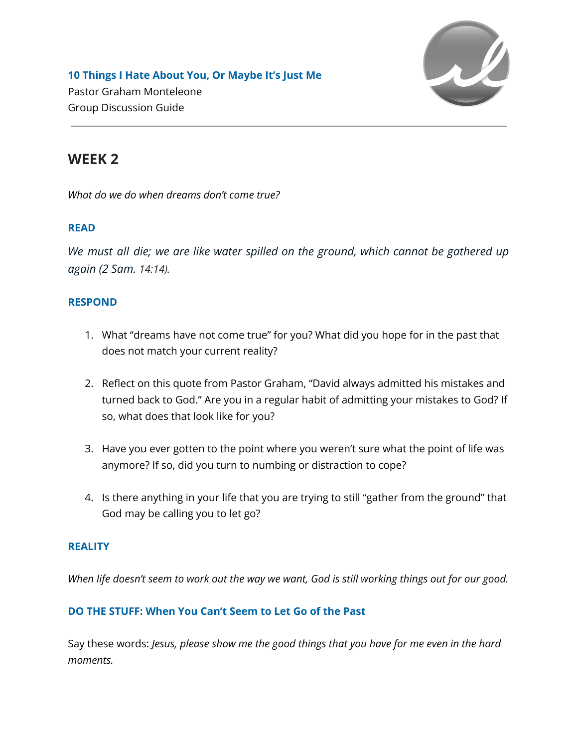

**10 Things I Hate About You, Or Maybe It's Just Me** Pastor Graham Monteleone Group Discussion Guide

# **WEEK 2**

*What do we do when dreams don't come true?*

# **READ**

*We must all die; we are like water spilled on the ground, which cannot be gathered up again (2 Sam. 14:14).*

## **RESPOND**

- 1. What "dreams have not come true" for you? What did you hope for in the past that does not match your current reality?
- 2. Reflect on this quote from Pastor Graham, "David always admitted his mistakes and turned back to God." Are you in a regular habit of admitting your mistakes to God? If so, what does that look like for you?
- 3. Have you ever gotten to the point where you weren't sure what the point of life was anymore? If so, did you turn to numbing or distraction to cope?
- 4. Is there anything in your life that you are trying to still "gather from the ground" that God may be calling you to let go?

#### **REALITY**

When life doesn't seem to work out the way we want, God is still working things out for our good.

## **DO THE STUFF: When You Can't Seem to Let Go of the Past**

Say these words: *Jesus, please show me the good things that you have for me even in the hard moments.*